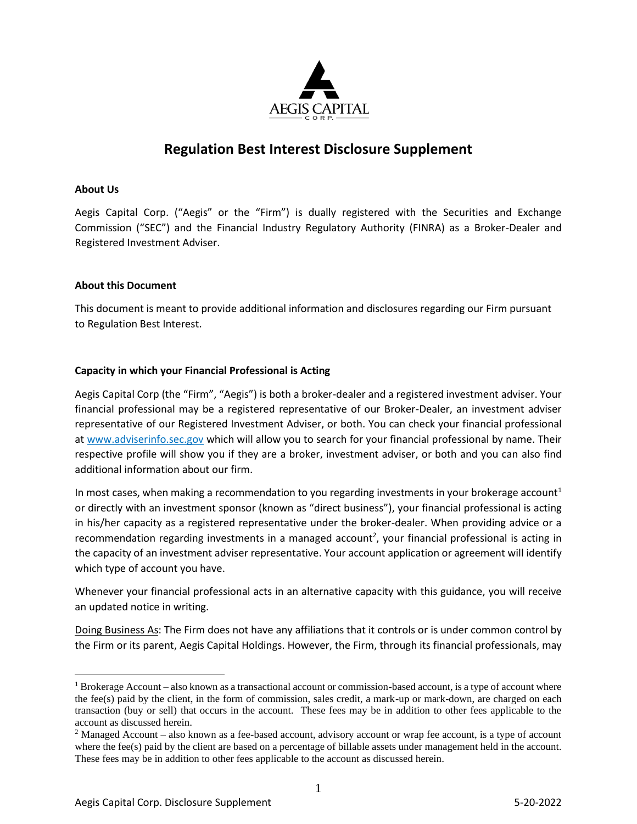

# **Regulation Best Interest Disclosure Supplement**

# **About Us**

Aegis Capital Corp. ("Aegis" or the "Firm") is dually registered with the Securities and Exchange Commission ("SEC") and the Financial Industry Regulatory Authority (FINRA) as a Broker-Dealer and Registered Investment Adviser.

#### **About this Document**

This document is meant to provide additional information and disclosures regarding our Firm pursuant to Regulation Best Interest.

#### **Capacity in which your Financial Professional is Acting**

Aegis Capital Corp (the "Firm", "Aegis") is both a broker-dealer and a registered investment adviser. Your financial professional may be a registered representative of our Broker-Dealer, an investment adviser representative of our Registered Investment Adviser, or both. You can check your financial professional at www.adviserinfo.sec.gov which will allow you to search for your financial professional by name. Their respective profile will show you if they are a broker, investment adviser, or both and you can also find additional information about our firm.

In most cases, when making a recommendation to you regarding investments in your brokerage account<sup>1</sup> or directly with an investment sponsor (known as "direct business"), your financial professional is acting in his/her capacity as a registered representative under the broker-dealer. When providing advice or a recommendation regarding investments in a managed account<sup>2</sup>, your financial professional is acting in the capacity of an investment adviser representative. Your account application or agreement will identify which type of account you have.

Whenever your financial professional acts in an alternative capacity with this guidance, you will receive an updated notice in writing.

Doing Business As: The Firm does not have any affiliations that it controls or is under common control by the Firm or its parent, Aegis Capital Holdings. However, the Firm, through its financial professionals, may

<sup>&</sup>lt;sup>1</sup> Brokerage Account – also known as a transactional account or commission-based account, is a type of account where the fee(s) paid by the client, in the form of commission, sales credit, a mark-up or mark-down, are charged on each transaction (buy or sell) that occurs in the account. These fees may be in addition to other fees applicable to the account as discussed herein.

<sup>&</sup>lt;sup>2</sup> Managed Account – also known as a fee-based account, advisory account or wrap fee account, is a type of account where the fee(s) paid by the client are based on a percentage of billable assets under management held in the account. These fees may be in addition to other fees applicable to the account as discussed herein.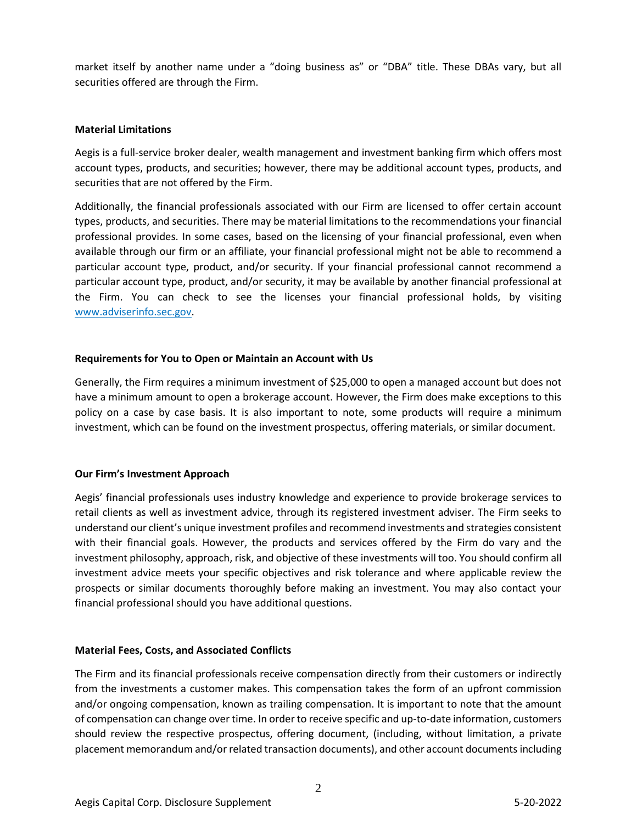market itself by another name under a "doing business as" or "DBA" title. These DBAs vary, but all securities offered are through the Firm.

## **Material Limitations**

Aegis is a full-service broker dealer, wealth management and investment banking firm which offers most account types, products, and securities; however, there may be additional account types, products, and securities that are not offered by the Firm.

Additionally, the financial professionals associated with our Firm are licensed to offer certain account types, products, and securities. There may be material limitations to the recommendations your financial professional provides. In some cases, based on the licensing of your financial professional, even when available through our firm or an affiliate, your financial professional might not be able to recommend a particular account type, product, and/or security. If your financial professional cannot recommend a particular account type, product, and/or security, it may be available by another financial professional at the Firm. You can check to see the licenses your financial professional holds, by visiting www.adviserinfo.sec.gov.

# **Requirements for You to Open or Maintain an Account with Us**

Generally, the Firm requires a minimum investment of \$25,000 to open a managed account but does not have a minimum amount to open a brokerage account. However, the Firm does make exceptions to this policy on a case by case basis. It is also important to note, some products will require a minimum investment, which can be found on the investment prospectus, offering materials, or similar document.

# **Our Firm's Investment Approach**

Aegis' financial professionals uses industry knowledge and experience to provide brokerage services to retail clients as well as investment advice, through its registered investment adviser. The Firm seeks to understand our client's unique investment profiles and recommend investments and strategies consistent with their financial goals. However, the products and services offered by the Firm do vary and the investment philosophy, approach, risk, and objective of these investments will too. You should confirm all investment advice meets your specific objectives and risk tolerance and where applicable review the prospects or similar documents thoroughly before making an investment. You may also contact your financial professional should you have additional questions.

# **Material Fees, Costs, and Associated Conflicts**

The Firm and its financial professionals receive compensation directly from their customers or indirectly from the investments a customer makes. This compensation takes the form of an upfront commission and/or ongoing compensation, known as trailing compensation. It is important to note that the amount of compensation can change over time. In order to receive specific and up-to-date information, customers should review the respective prospectus, offering document, (including, without limitation, a private placement memorandum and/or related transaction documents), and other account documents including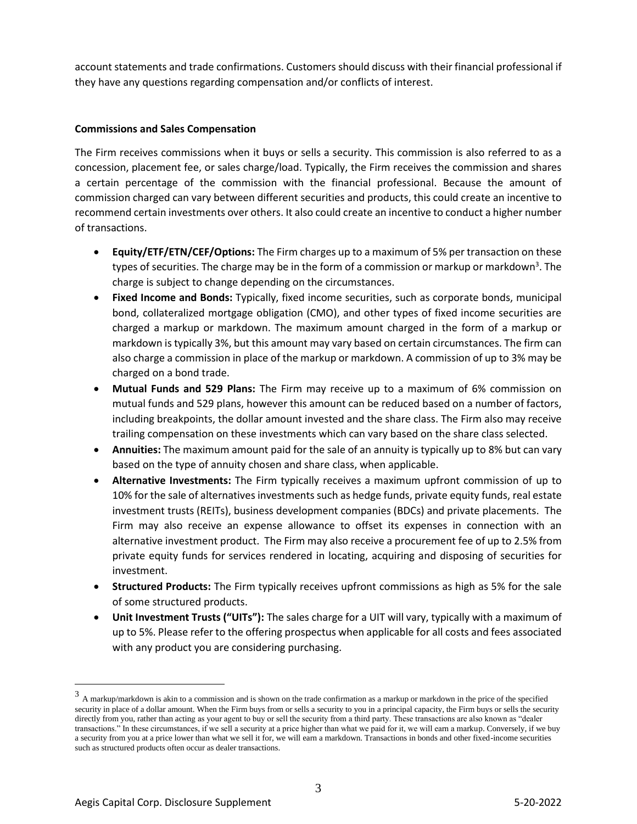account statements and trade confirmations. Customers should discuss with their financial professional if they have any questions regarding compensation and/or conflicts of interest.

# **Commissions and Sales Compensation**

The Firm receives commissions when it buys or sells a security. This commission is also referred to as a concession, placement fee, or sales charge/load. Typically, the Firm receives the commission and shares a certain percentage of the commission with the financial professional. Because the amount of commission charged can vary between different securities and products, this could create an incentive to recommend certain investments over others. It also could create an incentive to conduct a higher number of transactions.

- **Equity/ETF/ETN/CEF/Options:** The Firm charges up to a maximum of 5% per transaction on these types of securities. The charge may be in the form of a commission or markup or markdown<sup>3</sup>. The charge is subject to change depending on the circumstances.
- **Fixed Income and Bonds:** Typically, fixed income securities, such as corporate bonds, municipal bond, collateralized mortgage obligation (CMO), and other types of fixed income securities are charged a markup or markdown. The maximum amount charged in the form of a markup or markdown is typically 3%, but this amount may vary based on certain circumstances. The firm can also charge a commission in place of the markup or markdown. A commission of up to 3% may be charged on a bond trade.
- **Mutual Funds and 529 Plans:** The Firm may receive up to a maximum of 6% commission on mutual funds and 529 plans, however this amount can be reduced based on a number of factors, including breakpoints, the dollar amount invested and the share class. The Firm also may receive trailing compensation on these investments which can vary based on the share class selected.
- **Annuities:** The maximum amount paid for the sale of an annuity is typically up to 8% but can vary based on the type of annuity chosen and share class, when applicable.
- **Alternative Investments:** The Firm typically receives a maximum upfront commission of up to 10% for the sale of alternatives investments such as hedge funds, private equity funds, real estate investment trusts (REITs), business development companies (BDCs) and private placements. The Firm may also receive an expense allowance to offset its expenses in connection with an alternative investment product. The Firm may also receive a procurement fee of up to 2.5% from private equity funds for services rendered in locating, acquiring and disposing of securities for investment.
- **Structured Products:** The Firm typically receives upfront commissions as high as 5% for the sale of some structured products.
- **Unit Investment Trusts ("UITs"):** The sales charge for a UIT will vary, typically with a maximum of up to 5%. Please refer to the offering prospectus when applicable for all costs and fees associated with any product you are considering purchasing.

 $3$  A markup/markdown is akin to a commission and is shown on the trade confirmation as a markup or markdown in the price of the specified security in place of a dollar amount. When the Firm buys from or sells a security to you in a principal capacity, the Firm buys or sells the security directly from you, rather than acting as your agent to buy or sell the security from a third party. These transactions are also known as "dealer transactions." In these circumstances, if we sell a security at a price higher than what we paid for it, we will earn a markup. Conversely, if we buy a security from you at a price lower than what we sell it for, we will earn a markdown. Transactions in bonds and other fixed-income securities such as structured products often occur as dealer transactions.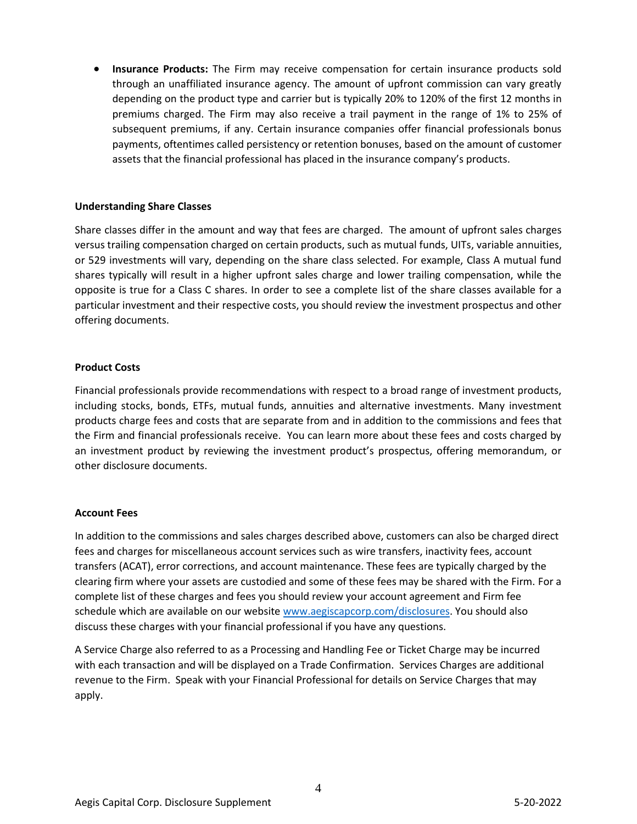• **Insurance Products:** The Firm may receive compensation for certain insurance products sold through an unaffiliated insurance agency. The amount of upfront commission can vary greatly depending on the product type and carrier but is typically 20% to 120% of the first 12 months in premiums charged. The Firm may also receive a trail payment in the range of 1% to 25% of subsequent premiums, if any. Certain insurance companies offer financial professionals bonus payments, oftentimes called persistency or retention bonuses, based on the amount of customer assets that the financial professional has placed in the insurance company's products.

# **Understanding Share Classes**

Share classes differ in the amount and way that fees are charged. The amount of upfront sales charges versus trailing compensation charged on certain products, such as mutual funds, UITs, variable annuities, or 529 investments will vary, depending on the share class selected. For example, Class A mutual fund shares typically will result in a higher upfront sales charge and lower trailing compensation, while the opposite is true for a Class C shares. In order to see a complete list of the share classes available for a particular investment and their respective costs, you should review the investment prospectus and other offering documents.

#### **Product Costs**

Financial professionals provide recommendations with respect to a broad range of investment products, including stocks, bonds, ETFs, mutual funds, annuities and alternative investments. Many investment products charge fees and costs that are separate from and in addition to the commissions and fees that the Firm and financial professionals receive. You can learn more about these fees and costs charged by an investment product by reviewing the investment product's prospectus, offering memorandum, or other disclosure documents.

# **Account Fees**

In addition to the commissions and sales charges described above, customers can also be charged direct fees and charges for miscellaneous account services such as wire transfers, inactivity fees, account transfers (ACAT), error corrections, and account maintenance. These fees are typically charged by the clearing firm where your assets are custodied and some of these fees may be shared with the Firm. For a complete list of these charges and fees you should review your account agreement and Firm fee schedule which are available on our website [www.aegiscapcorp.com/disclosures.](http://www.aegiscapcorp.com/disclosures) You should also discuss these charges with your financial professional if you have any questions.

A Service Charge also referred to as a Processing and Handling Fee or Ticket Charge may be incurred with each transaction and will be displayed on a Trade Confirmation. Services Charges are additional revenue to the Firm. Speak with your Financial Professional for details on Service Charges that may apply.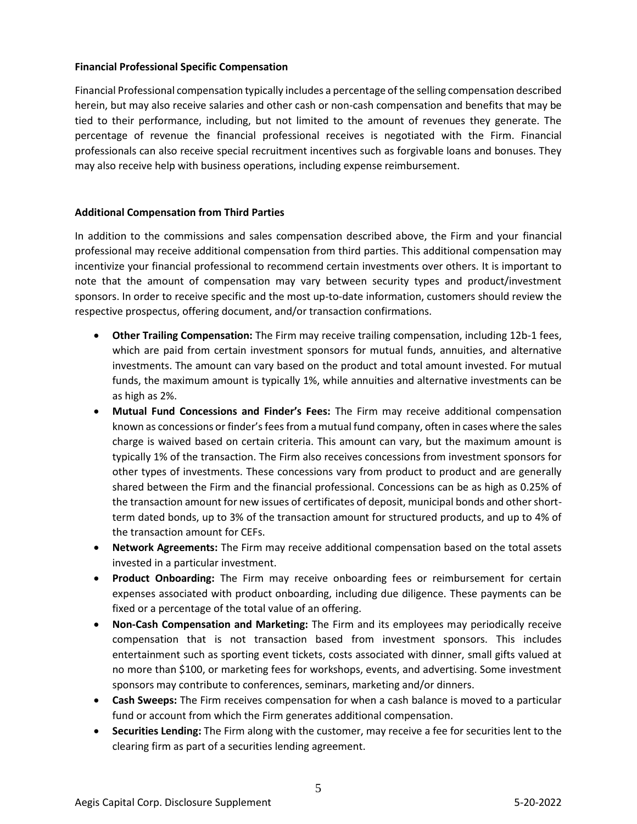# **Financial Professional Specific Compensation**

Financial Professional compensation typically includes a percentage of the selling compensation described herein, but may also receive salaries and other cash or non-cash compensation and benefits that may be tied to their performance, including, but not limited to the amount of revenues they generate. The percentage of revenue the financial professional receives is negotiated with the Firm. Financial professionals can also receive special recruitment incentives such as forgivable loans and bonuses. They may also receive help with business operations, including expense reimbursement.

# **Additional Compensation from Third Parties**

In addition to the commissions and sales compensation described above, the Firm and your financial professional may receive additional compensation from third parties. This additional compensation may incentivize your financial professional to recommend certain investments over others. It is important to note that the amount of compensation may vary between security types and product/investment sponsors. In order to receive specific and the most up-to-date information, customers should review the respective prospectus, offering document, and/or transaction confirmations.

- **Other Trailing Compensation:** The Firm may receive trailing compensation, including 12b-1 fees, which are paid from certain investment sponsors for mutual funds, annuities, and alternative investments. The amount can vary based on the product and total amount invested. For mutual funds, the maximum amount is typically 1%, while annuities and alternative investments can be as high as 2%.
- **Mutual Fund Concessions and Finder's Fees:** The Firm may receive additional compensation known as concessions or finder's fees from a mutual fund company, often in cases where the sales charge is waived based on certain criteria. This amount can vary, but the maximum amount is typically 1% of the transaction. The Firm also receives concessions from investment sponsors for other types of investments. These concessions vary from product to product and are generally shared between the Firm and the financial professional. Concessions can be as high as 0.25% of the transaction amount for new issues of certificates of deposit, municipal bonds and other shortterm dated bonds, up to 3% of the transaction amount for structured products, and up to 4% of the transaction amount for CEFs.
- **Network Agreements:** The Firm may receive additional compensation based on the total assets invested in a particular investment.
- **Product Onboarding:** The Firm may receive onboarding fees or reimbursement for certain expenses associated with product onboarding, including due diligence. These payments can be fixed or a percentage of the total value of an offering.
- **Non-Cash Compensation and Marketing:** The Firm and its employees may periodically receive compensation that is not transaction based from investment sponsors. This includes entertainment such as sporting event tickets, costs associated with dinner, small gifts valued at no more than \$100, or marketing fees for workshops, events, and advertising. Some investment sponsors may contribute to conferences, seminars, marketing and/or dinners.
- **Cash Sweeps:** The Firm receives compensation for when a cash balance is moved to a particular fund or account from which the Firm generates additional compensation.
- **Securities Lending:** The Firm along with the customer, may receive a fee for securities lent to the clearing firm as part of a securities lending agreement.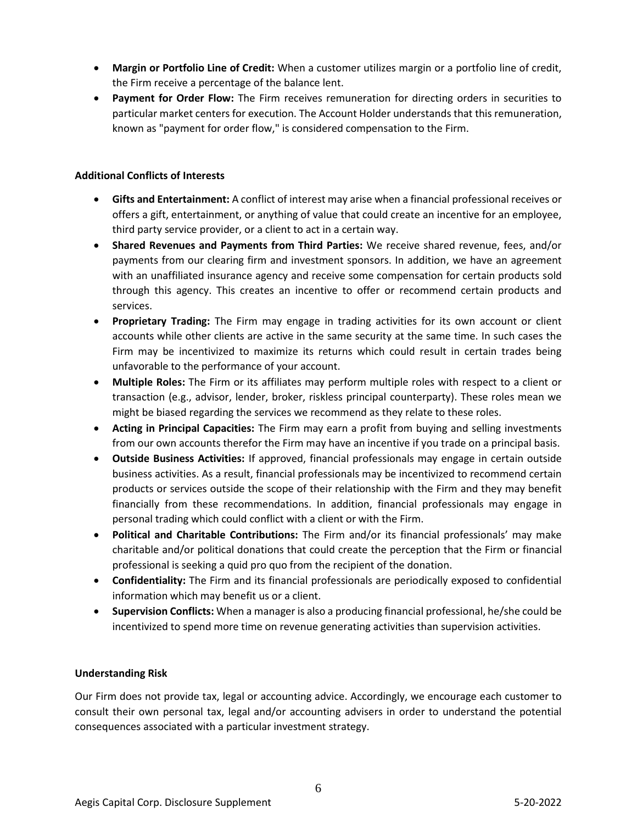- **Margin or Portfolio Line of Credit:** When a customer utilizes margin or a portfolio line of credit, the Firm receive a percentage of the balance lent.
- **Payment for Order Flow:** The Firm receives remuneration for directing orders in securities to particular market centers for execution. The Account Holder understands that this remuneration, known as "payment for order flow," is considered compensation to the Firm.

# **Additional Conflicts of Interests**

- **Gifts and Entertainment:** A conflict of interest may arise when a financial professional receives or offers a gift, entertainment, or anything of value that could create an incentive for an employee, third party service provider, or a client to act in a certain way.
- **Shared Revenues and Payments from Third Parties:** We receive shared revenue, fees, and/or payments from our clearing firm and investment sponsors. In addition, we have an agreement with an unaffiliated insurance agency and receive some compensation for certain products sold through this agency. This creates an incentive to offer or recommend certain products and services.
- **Proprietary Trading:** The Firm may engage in trading activities for its own account or client accounts while other clients are active in the same security at the same time. In such cases the Firm may be incentivized to maximize its returns which could result in certain trades being unfavorable to the performance of your account.
- **Multiple Roles:** The Firm or its affiliates may perform multiple roles with respect to a client or transaction (e.g., advisor, lender, broker, riskless principal counterparty). These roles mean we might be biased regarding the services we recommend as they relate to these roles.
- **Acting in Principal Capacities:** The Firm may earn a profit from buying and selling investments from our own accounts therefor the Firm may have an incentive if you trade on a principal basis.
- **Outside Business Activities:** If approved, financial professionals may engage in certain outside business activities. As a result, financial professionals may be incentivized to recommend certain products or services outside the scope of their relationship with the Firm and they may benefit financially from these recommendations. In addition, financial professionals may engage in personal trading which could conflict with a client or with the Firm.
- **Political and Charitable Contributions:** The Firm and/or its financial professionals' may make charitable and/or political donations that could create the perception that the Firm or financial professional is seeking a quid pro quo from the recipient of the donation.
- **Confidentiality:** The Firm and its financial professionals are periodically exposed to confidential information which may benefit us or a client.
- **Supervision Conflicts:** When a manager is also a producing financial professional, he/she could be incentivized to spend more time on revenue generating activities than supervision activities.

# **Understanding Risk**

Our Firm does not provide tax, legal or accounting advice. Accordingly, we encourage each customer to consult their own personal tax, legal and/or accounting advisers in order to understand the potential consequences associated with a particular investment strategy.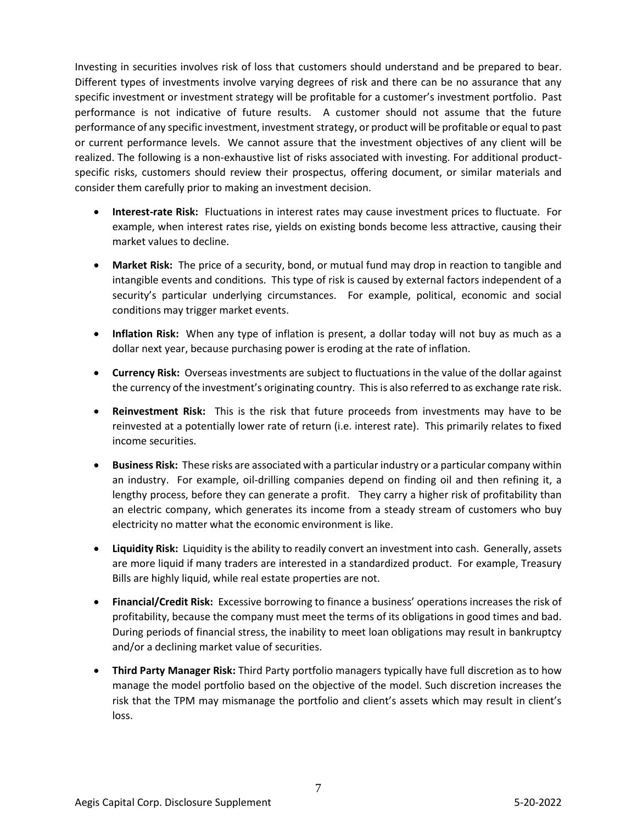Investing in securities involves risk of loss that customers should understand and be prepared to bear. Different types of investments involve varying degrees of risk and there can be no assurance that any specific investment or investment strategy will be profitable for a customer's investment portfolio. Past performance is not indicative of future results. A customer should not assume that the future performance of any specific investment, investment strategy, or product will be profitable or equal to past or current performance levels. We cannot assure that the investment objectives of any client will be realized. The following is a non-exhaustive list of risks associated with investing. For additional productspecific risks, customers should review their prospectus, offering document, or similar materials and consider them carefully prior to making an investment decision.

- **Interest-rate Risk:** Fluctuations in interest rates may cause investment prices to fluctuate. For example, when interest rates rise, yields on existing bonds become less attractive, causing their market values to decline.
- **Market Risk:** The price of a security, bond, or mutual fund may drop in reaction to tangible and intangible events and conditions. This type of risk is caused by external factors independent of a security's particular underlying circumstances. For example, political, economic and social conditions may trigger market events.
- **Inflation Risk:** When any type of inflation is present, a dollar today will not buy as much as a dollar next year, because purchasing power is eroding at the rate of inflation.
- **Currency Risk:** Overseas investments are subject to fluctuations in the value of the dollar against the currency of the investment's originating country. This is also referred to as exchange rate risk.
- **Reinvestment Risk:** This is the risk that future proceeds from investments may have to be reinvested at a potentially lower rate of return (i.e. interest rate). This primarily relates to fixed income securities.
- **Business Risk:** These risks are associated with a particular industry or a particular company within an industry. For example, oil-drilling companies depend on finding oil and then refining it, a lengthy process, before they can generate a profit. They carry a higher risk of profitability than an electric company, which generates its income from a steady stream of customers who buy electricity no matter what the economic environment is like.
- **Liquidity Risk:** Liquidity is the ability to readily convert an investment into cash. Generally, assets are more liquid if many traders are interested in a standardized product. For example, Treasury Bills are highly liquid, while real estate properties are not.
- **Financial/Credit Risk:** Excessive borrowing to finance a business' operations increases the risk of profitability, because the company must meet the terms of its obligations in good times and bad. During periods of financial stress, the inability to meet loan obligations may result in bankruptcy and/or a declining market value of securities.
- **Third Party Manager Risk:** Third Party portfolio managers typically have full discretion as to how manage the model portfolio based on the objective of the model. Such discretion increases the risk that the TPM may mismanage the portfolio and client's assets which may result in client's loss.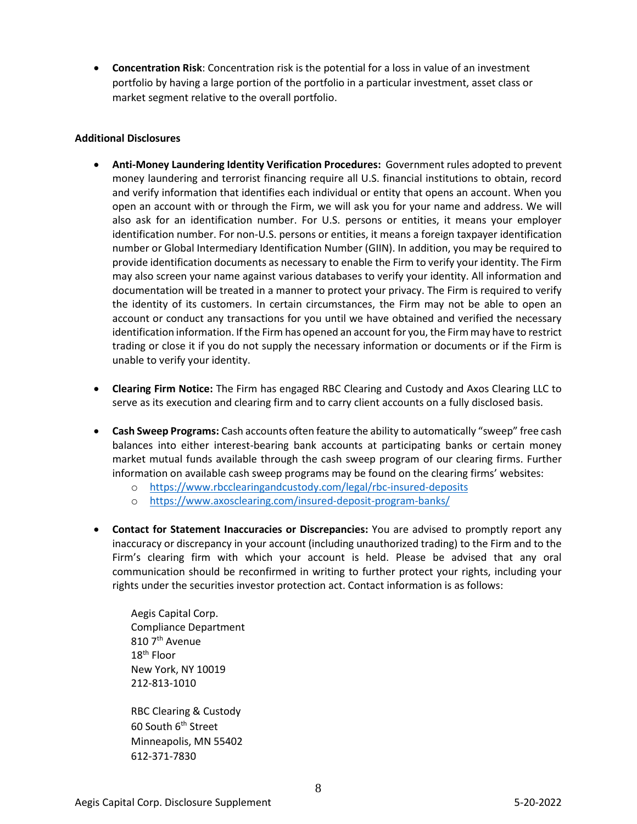• **Concentration Risk**: Concentration risk is the potential for a loss in value of an investment portfolio by having a large portion of the portfolio in a particular investment, asset class or market segment relative to the overall portfolio.

# **Additional Disclosures**

- **Anti-Money Laundering Identity Verification Procedures:** Government rules adopted to prevent money laundering and terrorist financing require all U.S. financial institutions to obtain, record and verify information that identifies each individual or entity that opens an account. When you open an account with or through the Firm, we will ask you for your name and address. We will also ask for an identification number. For U.S. persons or entities, it means your employer identification number. For non-U.S. persons or entities, it means a foreign taxpayer identification number or Global Intermediary Identification Number (GIIN). In addition, you may be required to provide identification documents as necessary to enable the Firm to verify your identity. The Firm may also screen your name against various databases to verify your identity. All information and documentation will be treated in a manner to protect your privacy. The Firm is required to verify the identity of its customers. In certain circumstances, the Firm may not be able to open an account or conduct any transactions for you until we have obtained and verified the necessary identification information. If the Firm has opened an account for you, the Firm may have to restrict trading or close it if you do not supply the necessary information or documents or if the Firm is unable to verify your identity.
- **Clearing Firm Notice:** The Firm has engaged RBC Clearing and Custody and Axos Clearing LLC to serve as its execution and clearing firm and to carry client accounts on a fully disclosed basis.
- **Cash Sweep Programs:** Cash accounts often feature the ability to automatically "sweep" free cash balances into either interest-bearing bank accounts at participating banks or certain money market mutual funds available through the cash sweep program of our clearing firms. Further information on available cash sweep programs may be found on the clearing firms' websites:
	- o <https://www.rbcclearingandcustody.com/legal/rbc-insured-deposits>
	- o <https://www.axosclearing.com/insured-deposit-program-banks/>
- **Contact for Statement Inaccuracies or Discrepancies:** You are advised to promptly report any inaccuracy or discrepancy in your account (including unauthorized trading) to the Firm and to the Firm's clearing firm with which your account is held. Please be advised that any oral communication should be reconfirmed in writing to further protect your rights, including your rights under the securities investor protection act. Contact information is as follows:

Aegis Capital Corp. Compliance Department 810 7<sup>th</sup> Avenue 18th Floor New York, NY 10019 212-813-1010

RBC Clearing & Custody 60 South 6<sup>th</sup> Street Minneapolis, MN 55402 612-371-7830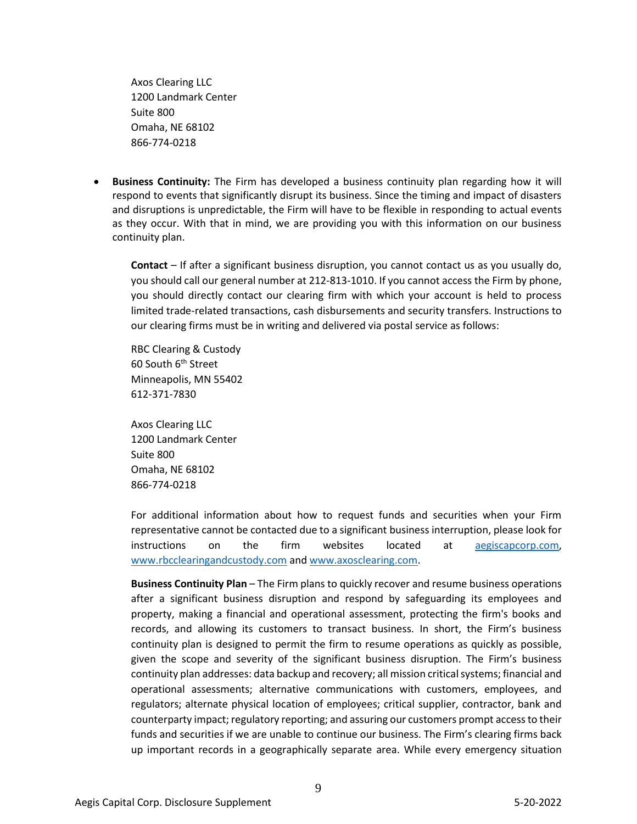Axos Clearing LLC 1200 Landmark Center Suite 800 Omaha, NE 68102 866-774-0218

• **Business Continuity:** The Firm has developed a business continuity plan regarding how it will respond to events that significantly disrupt its business. Since the timing and impact of disasters and disruptions is unpredictable, the Firm will have to be flexible in responding to actual events as they occur. With that in mind, we are providing you with this information on our business continuity plan.

**Contact** – If after a significant business disruption, you cannot contact us as you usually do, you should call our general number at 212-813-1010. If you cannot access the Firm by phone, you should directly contact our clearing firm with which your account is held to process limited trade-related transactions, cash disbursements and security transfers. Instructions to our clearing firms must be in writing and delivered via postal service as follows:

RBC Clearing & Custody 60 South 6<sup>th</sup> Street Minneapolis, MN 55402 612-371-7830

Axos Clearing LLC 1200 Landmark Center Suite 800 Omaha, NE 68102 866-774-0218

For additional information about how to request funds and securities when your Firm representative cannot be contacted due to a significant business interruption, please look for instructions on the firm websites located at aegiscapcorp.com, [www.rbcclearingandcustody.com](http://www.rbcclearingandcustody.com/) an[d www.axosclearing.com.](http://www.axosclearing.com/)

**Business Continuity Plan** – The Firm plans to quickly recover and resume business operations after a significant business disruption and respond by safeguarding its employees and property, making a financial and operational assessment, protecting the firm's books and records, and allowing its customers to transact business. In short, the Firm's business continuity plan is designed to permit the firm to resume operations as quickly as possible, given the scope and severity of the significant business disruption. The Firm's business continuity plan addresses: data backup and recovery; all mission critical systems; financial and operational assessments; alternative communications with customers, employees, and regulators; alternate physical location of employees; critical supplier, contractor, bank and counterparty impact; regulatory reporting; and assuring our customers prompt access to their funds and securities if we are unable to continue our business. The Firm's clearing firms back up important records in a geographically separate area. While every emergency situation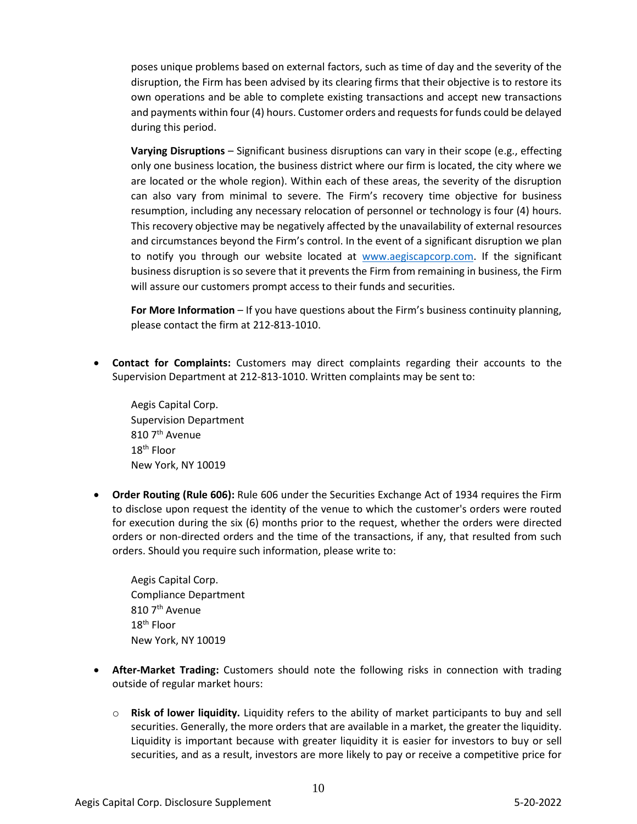poses unique problems based on external factors, such as time of day and the severity of the disruption, the Firm has been advised by its clearing firms that their objective is to restore its own operations and be able to complete existing transactions and accept new transactions and payments within four (4) hours. Customer orders and requests for funds could be delayed during this period.

**Varying Disruptions** – Significant business disruptions can vary in their scope (e.g., effecting only one business location, the business district where our firm is located, the city where we are located or the whole region). Within each of these areas, the severity of the disruption can also vary from minimal to severe. The Firm's recovery time objective for business resumption, including any necessary relocation of personnel or technology is four (4) hours. This recovery objective may be negatively affected by the unavailability of external resources and circumstances beyond the Firm's control. In the event of a significant disruption we plan to notify you through our website located at [www.aegiscapcorp.com.](http://www.aegiscapcorp.com/) If the significant business disruption is so severe that it prevents the Firm from remaining in business, the Firm will assure our customers prompt access to their funds and securities.

**For More Information** – If you have questions about the Firm's business continuity planning, please contact the firm at 212-813-1010.

• **Contact for Complaints:** Customers may direct complaints regarding their accounts to the Supervision Department at 212-813-1010. Written complaints may be sent to:

Aegis Capital Corp. Supervision Department  $810$  7<sup>th</sup> Avenue 18<sup>th</sup> Floor New York, NY 10019

• **Order Routing (Rule 606):** Rule 606 under the Securities Exchange Act of 1934 requires the Firm to disclose upon request the identity of the venue to which the customer's orders were routed for execution during the six (6) months prior to the request, whether the orders were directed orders or non-directed orders and the time of the transactions, if any, that resulted from such orders. Should you require such information, please write to:

Aegis Capital Corp. Compliance Department 810 7<sup>th</sup> Avenue 18th Floor New York, NY 10019

- **After-Market Trading:** Customers should note the following risks in connection with trading outside of regular market hours:
	- o **Risk of lower liquidity.** Liquidity refers to the ability of market participants to buy and sell securities. Generally, the more orders that are available in a market, the greater the liquidity. Liquidity is important because with greater liquidity it is easier for investors to buy or sell securities, and as a result, investors are more likely to pay or receive a competitive price for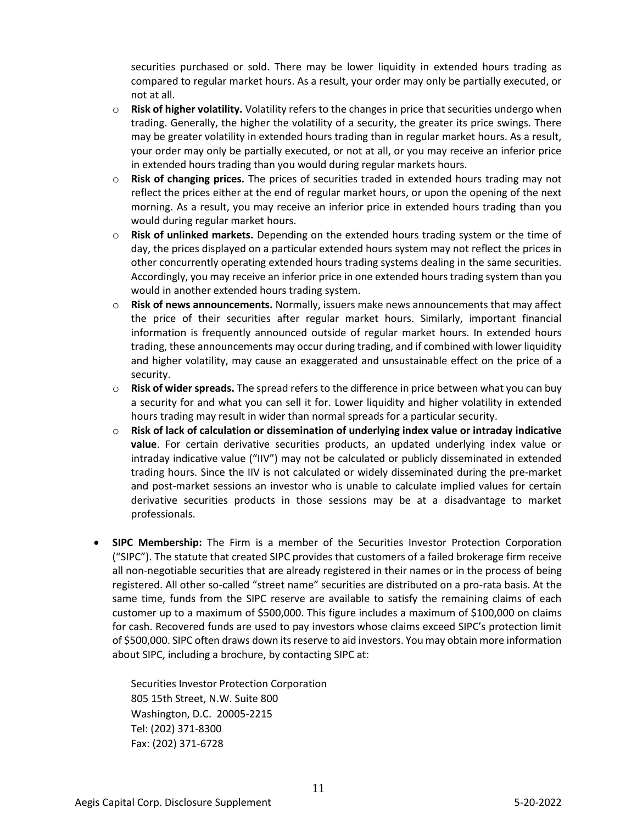securities purchased or sold. There may be lower liquidity in extended hours trading as compared to regular market hours. As a result, your order may only be partially executed, or not at all.

- o **Risk of higher volatility.** Volatility refers to the changes in price that securities undergo when trading. Generally, the higher the volatility of a security, the greater its price swings. There may be greater volatility in extended hours trading than in regular market hours. As a result, your order may only be partially executed, or not at all, or you may receive an inferior price in extended hours trading than you would during regular markets hours.
- o **Risk of changing prices.** The prices of securities traded in extended hours trading may not reflect the prices either at the end of regular market hours, or upon the opening of the next morning. As a result, you may receive an inferior price in extended hours trading than you would during regular market hours.
- o **Risk of unlinked markets.** Depending on the extended hours trading system or the time of day, the prices displayed on a particular extended hours system may not reflect the prices in other concurrently operating extended hours trading systems dealing in the same securities. Accordingly, you may receive an inferior price in one extended hours trading system than you would in another extended hours trading system.
- o **Risk of news announcements.** Normally, issuers make news announcements that may affect the price of their securities after regular market hours. Similarly, important financial information is frequently announced outside of regular market hours. In extended hours trading, these announcements may occur during trading, and if combined with lower liquidity and higher volatility, may cause an exaggerated and unsustainable effect on the price of a security.
- o **Risk of wider spreads.** The spread refers to the difference in price between what you can buy a security for and what you can sell it for. Lower liquidity and higher volatility in extended hours trading may result in wider than normal spreads for a particular security.
- o **Risk of lack of calculation or dissemination of underlying index value or intraday indicative value**. For certain derivative securities products, an updated underlying index value or intraday indicative value ("IIV") may not be calculated or publicly disseminated in extended trading hours. Since the IIV is not calculated or widely disseminated during the pre-market and post-market sessions an investor who is unable to calculate implied values for certain derivative securities products in those sessions may be at a disadvantage to market professionals.
- **SIPC Membership:** The Firm is a member of the Securities Investor Protection Corporation ("SIPC"). The statute that created SIPC provides that customers of a failed brokerage firm receive all non-negotiable securities that are already registered in their names or in the process of being registered. All other so-called "street name" securities are distributed on a pro-rata basis. At the same time, funds from the SIPC reserve are available to satisfy the remaining claims of each customer up to a maximum of \$500,000. This figure includes a maximum of \$100,000 on claims for cash. Recovered funds are used to pay investors whose claims exceed SIPC's protection limit of \$500,000. SIPC often draws down its reserve to aid investors. You may obtain more information about SIPC, including a brochure, by contacting SIPC at:

Securities Investor Protection Corporation 805 15th Street, N.W. Suite 800 Washington, D.C. 20005-2215 Tel: (202) 371-8300 Fax: (202) 371-6728